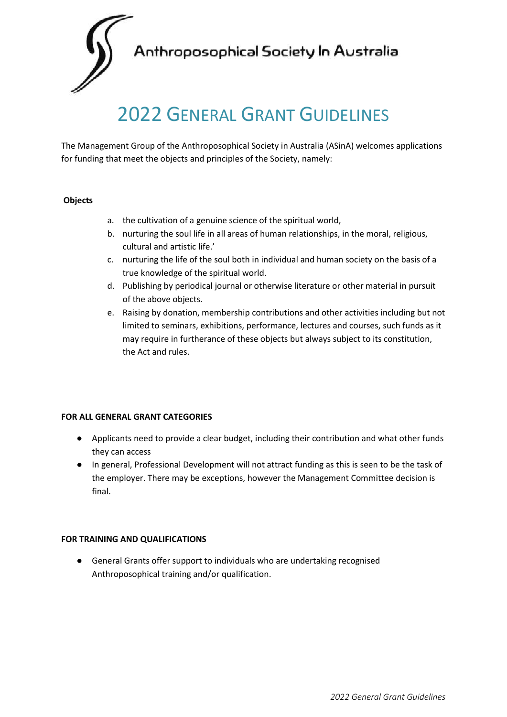Anthroposophical Society In Australia

# 2022 GENERAL GRANT GUIDELINES

The Management Group of the Anthroposophical Society in Australia (ASinA) welcomes applications for funding that meet the objects and principles of the Society, namely:

### **Objects**

- a. the cultivation of a genuine science of the spiritual world,
- b. nurturing the soul life in all areas of human relationships, in the moral, religious, cultural and artistic life.'
- c. nurturing the life of the soul both in individual and human society on the basis of a true knowledge of the spiritual world.
- d. Publishing by periodical journal or otherwise literature or other material in pursuit of the above objects.
- e. Raising by donation, membership contributions and other activities including but not limited to seminars, exhibitions, performance, lectures and courses, such funds as it may require in furtherance of these objects but always subject to its constitution, the Act and rules.

### **FOR ALL GENERAL GRANT CATEGORIES**

- Applicants need to provide a clear budget, including their contribution and what other funds they can access
- In general, Professional Development will not attract funding as this is seen to be the task of the employer. There may be exceptions, however the Management Committee decision is final.

# **FOR TRAINING AND QUALIFICATIONS**

● General Grants offer support to individuals who are undertaking recognised Anthroposophical training and/or qualification.